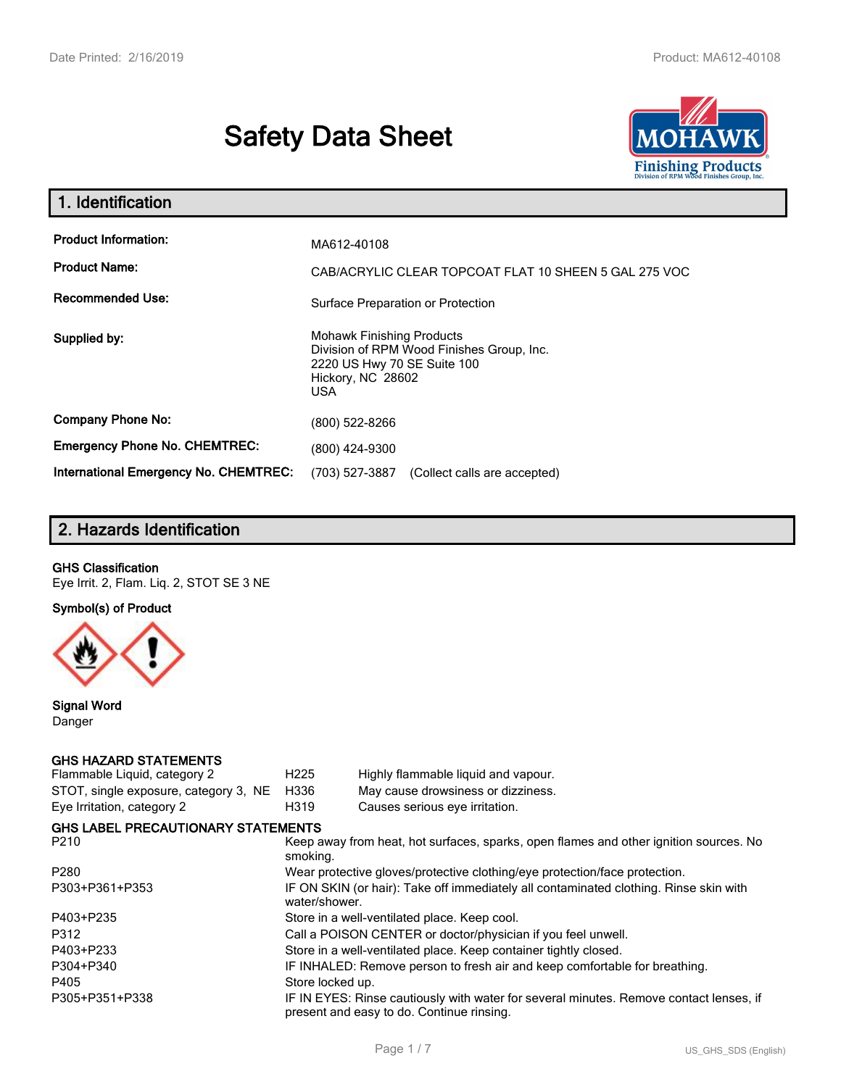# **Safety Data Sheet**



| 1. Identification                                                              |                                                                                                                                                 |
|--------------------------------------------------------------------------------|-------------------------------------------------------------------------------------------------------------------------------------------------|
| <b>Product Information:</b><br><b>Product Name:</b><br><b>Recommended Use:</b> | MA612-40108<br>CAB/ACRYLIC CLEAR TOPCOAT FLAT 10 SHEEN 5 GAL 275 VOC<br>Surface Preparation or Protection                                       |
| Supplied by:                                                                   | <b>Mohawk Finishing Products</b><br>Division of RPM Wood Finishes Group, Inc.<br>2220 US Hwy 70 SE Suite 100<br>Hickory, NC 28602<br><b>USA</b> |
| <b>Company Phone No:</b>                                                       | (800) 522-8266                                                                                                                                  |
| <b>Emergency Phone No. CHEMTREC:</b>                                           | (800) 424-9300                                                                                                                                  |
| <b>International Emergency No. CHEMTREC:</b>                                   | (703) 527-3887<br>(Collect calls are accepted)                                                                                                  |

# **2. Hazards Identification**

#### **GHS Classification**

Eye Irrit. 2, Flam. Liq. 2, STOT SE 3 NE

**Symbol(s) of Product**



**Signal Word** Danger

# **GHS HAZARD STATEMENTS**

| Flammable Liquid, category 2              | H <sub>225</sub> | Highly flammable liquid and vapour.                                                                                                 |
|-------------------------------------------|------------------|-------------------------------------------------------------------------------------------------------------------------------------|
| STOT, single exposure, category 3, NE     | H336             | May cause drowsiness or dizziness.                                                                                                  |
| Eye Irritation, category 2                | H319             | Causes serious eye irritation.                                                                                                      |
| <b>GHS LABEL PRECAUTIONARY STATEMENTS</b> |                  |                                                                                                                                     |
| P210                                      | smoking.         | Keep away from heat, hot surfaces, sparks, open flames and other ignition sources. No                                               |
| P280                                      |                  | Wear protective gloves/protective clothing/eye protection/face protection.                                                          |
| P303+P361+P353                            | water/shower.    | IF ON SKIN (or hair): Take off immediately all contaminated clothing. Rinse skin with                                               |
| P403+P235                                 |                  | Store in a well-ventilated place. Keep cool.                                                                                        |
| P312                                      |                  | Call a POISON CENTER or doctor/physician if you feel unwell.                                                                        |
| P403+P233                                 |                  | Store in a well-ventilated place. Keep container tightly closed.                                                                    |
| P304+P340                                 |                  | IF INHALED: Remove person to fresh air and keep comfortable for breathing.                                                          |
| P405                                      | Store locked up. |                                                                                                                                     |
| P305+P351+P338                            |                  | IF IN EYES: Rinse cautiously with water for several minutes. Remove contact lenses, if<br>present and easy to do. Continue rinsing. |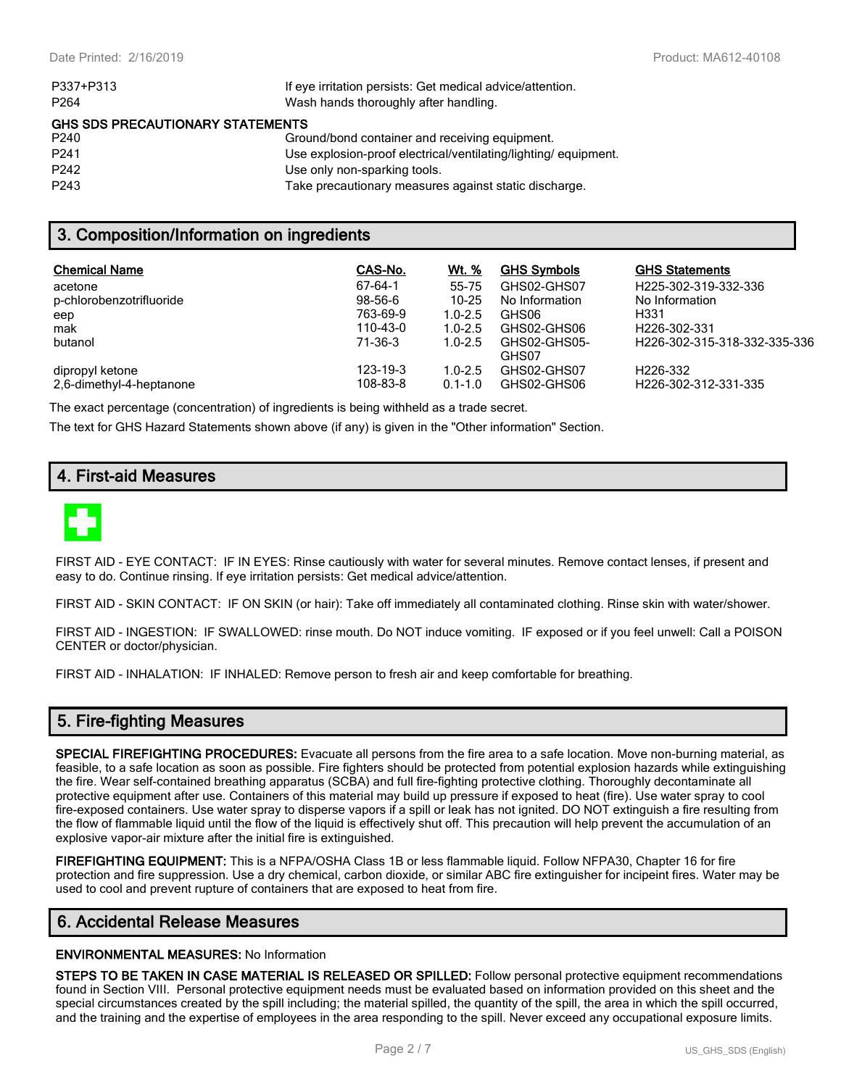| P337+P313                               | If eye irritation persists: Get medical advice/attention.      |  |  |  |  |
|-----------------------------------------|----------------------------------------------------------------|--|--|--|--|
| P <sub>264</sub>                        | Wash hands thoroughly after handling.                          |  |  |  |  |
| <b>GHS SDS PRECAUTIONARY STATEMENTS</b> |                                                                |  |  |  |  |
| P240                                    | Ground/bond container and receiving equipment.                 |  |  |  |  |
| P <sub>241</sub>                        | Use explosion-proof electrical/ventilating/lighting/equipment. |  |  |  |  |
| P <sub>242</sub>                        | Use only non-sparking tools.                                   |  |  |  |  |
| P <sub>243</sub>                        | Take precautionary measures against static discharge.          |  |  |  |  |

### **3. Composition/Information on ingredients**

| <b>Chemical Name</b>     | CAS-No.   | Wt. %       | <b>GHS Symbols</b> | <b>GHS Statements</b>        |
|--------------------------|-----------|-------------|--------------------|------------------------------|
| acetone                  | 67-64-1   | 55-75       | GHS02-GHS07        | H225-302-319-332-336         |
| p-chlorobenzotrifluoride | $98-56-6$ | $10 - 25$   | No Information     | No Information               |
| eep                      | 763-69-9  | $1.0 - 2.5$ | GHS06              | H331                         |
| mak                      | 110-43-0  | $1.0 - 2.5$ | GHS02-GHS06        | H <sub>226</sub> -302-331    |
| butanol                  | 71-36-3   | $1.0 - 2.5$ | GHS02-GHS05-       | H226-302-315-318-332-335-336 |
|                          |           |             | GHS07              |                              |
| dipropyl ketone          | 123-19-3  | $1.0 - 2.5$ | GHS02-GHS07        | H <sub>226</sub> -332        |
| 2.6-dimethyl-4-heptanone | 108-83-8  | $0.1 - 1.0$ | GHS02-GHS06        | H226-302-312-331-335         |

The exact percentage (concentration) of ingredients is being withheld as a trade secret.

The text for GHS Hazard Statements shown above (if any) is given in the "Other information" Section.

# **4. First-aid Measures**



FIRST AID - EYE CONTACT: IF IN EYES: Rinse cautiously with water for several minutes. Remove contact lenses, if present and easy to do. Continue rinsing. If eye irritation persists: Get medical advice/attention.

FIRST AID - SKIN CONTACT: IF ON SKIN (or hair): Take off immediately all contaminated clothing. Rinse skin with water/shower.

FIRST AID - INGESTION: IF SWALLOWED: rinse mouth. Do NOT induce vomiting. IF exposed or if you feel unwell: Call a POISON CENTER or doctor/physician.

FIRST AID - INHALATION: IF INHALED: Remove person to fresh air and keep comfortable for breathing.

### **5. Fire-fighting Measures**

**SPECIAL FIREFIGHTING PROCEDURES:** Evacuate all persons from the fire area to a safe location. Move non-burning material, as feasible, to a safe location as soon as possible. Fire fighters should be protected from potential explosion hazards while extinguishing the fire. Wear self-contained breathing apparatus (SCBA) and full fire-fighting protective clothing. Thoroughly decontaminate all protective equipment after use. Containers of this material may build up pressure if exposed to heat (fire). Use water spray to cool fire-exposed containers. Use water spray to disperse vapors if a spill or leak has not ignited. DO NOT extinguish a fire resulting from the flow of flammable liquid until the flow of the liquid is effectively shut off. This precaution will help prevent the accumulation of an explosive vapor-air mixture after the initial fire is extinguished.

**FIREFIGHTING EQUIPMENT:** This is a NFPA/OSHA Class 1B or less flammable liquid. Follow NFPA30, Chapter 16 for fire protection and fire suppression. Use a dry chemical, carbon dioxide, or similar ABC fire extinguisher for incipeint fires. Water may be used to cool and prevent rupture of containers that are exposed to heat from fire.

# **6. Accidental Release Measures**

#### **ENVIRONMENTAL MEASURES:** No Information

**STEPS TO BE TAKEN IN CASE MATERIAL IS RELEASED OR SPILLED:** Follow personal protective equipment recommendations found in Section VIII. Personal protective equipment needs must be evaluated based on information provided on this sheet and the special circumstances created by the spill including; the material spilled, the quantity of the spill, the area in which the spill occurred, and the training and the expertise of employees in the area responding to the spill. Never exceed any occupational exposure limits.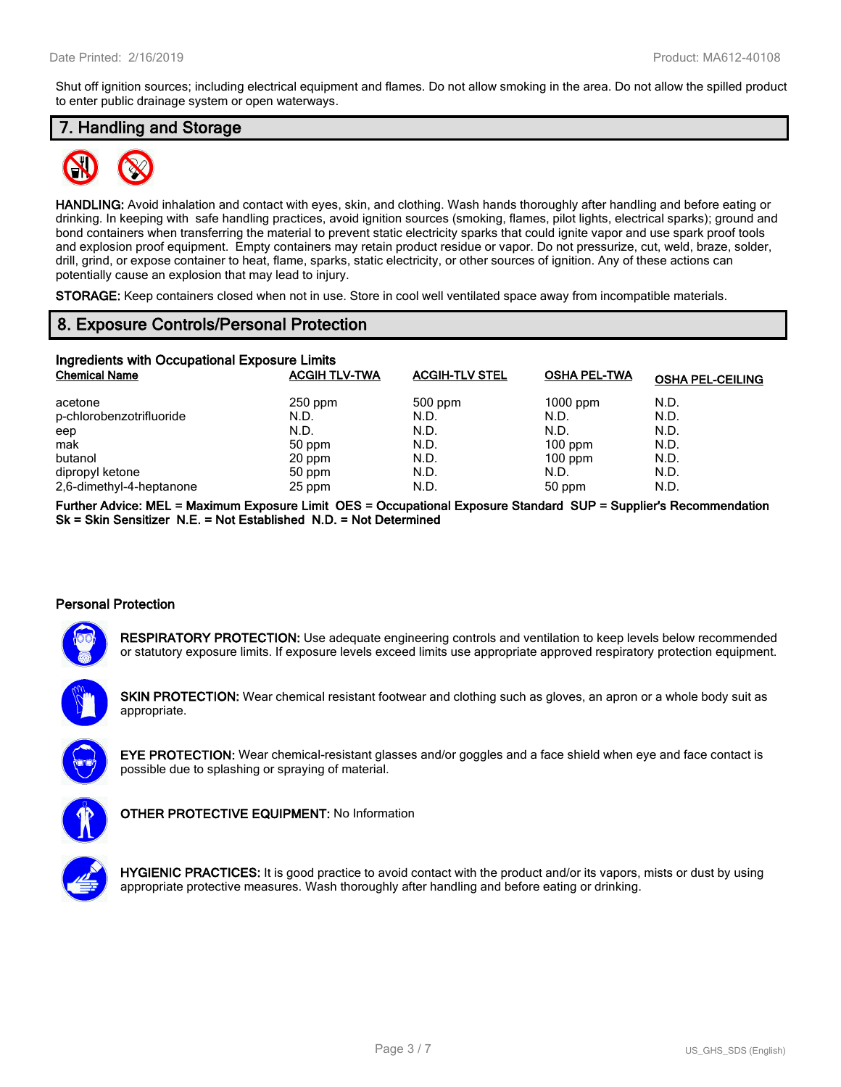Shut off ignition sources; including electrical equipment and flames. Do not allow smoking in the area. Do not allow the spilled product to enter public drainage system or open waterways.

# **7. Handling and Storage**



**HANDLING:** Avoid inhalation and contact with eyes, skin, and clothing. Wash hands thoroughly after handling and before eating or drinking. In keeping with safe handling practices, avoid ignition sources (smoking, flames, pilot lights, electrical sparks); ground and bond containers when transferring the material to prevent static electricity sparks that could ignite vapor and use spark proof tools and explosion proof equipment. Empty containers may retain product residue or vapor. Do not pressurize, cut, weld, braze, solder, drill, grind, or expose container to heat, flame, sparks, static electricity, or other sources of ignition. Any of these actions can potentially cause an explosion that may lead to injury.

**STORAGE:** Keep containers closed when not in use. Store in cool well ventilated space away from incompatible materials.

### **8. Exposure Controls/Personal Protection**

| Ingredients with Occupational Exposure Limits |                      |                       |                     |                         |  |  |
|-----------------------------------------------|----------------------|-----------------------|---------------------|-------------------------|--|--|
| <b>Chemical Name</b>                          | <b>ACGIH TLV-TWA</b> | <b>ACGIH-TLV STEL</b> | <b>OSHA PEL-TWA</b> | <b>OSHA PEL-CEILING</b> |  |  |
| acetone                                       | $250$ ppm            | $500$ ppm             | $1000$ ppm          | N.D.                    |  |  |
| p-chlorobenzotrifluoride                      | N.D.                 | N.D.                  | N.D.                | N.D.                    |  |  |
| eep                                           | N.D.                 | N.D.                  | N.D.                | N.D.                    |  |  |
| mak                                           | 50 ppm               | N.D.                  | $100$ ppm           | N.D.                    |  |  |
| butanol                                       | 20 ppm               | N.D.                  | $100$ ppm           | N.D.                    |  |  |
| dipropyl ketone                               | 50 ppm               | N.D.                  | N.D.                | N.D.                    |  |  |
| 2,6-dimethyl-4-heptanone                      | 25 ppm               | N.D.                  | 50 ppm              | N.D.                    |  |  |

**Further Advice: MEL = Maximum Exposure Limit OES = Occupational Exposure Standard SUP = Supplier's Recommendation Sk = Skin Sensitizer N.E. = Not Established N.D. = Not Determined**

#### **Personal Protection**



**RESPIRATORY PROTECTION:** Use adequate engineering controls and ventilation to keep levels below recommended or statutory exposure limits. If exposure levels exceed limits use appropriate approved respiratory protection equipment.

**SKIN PROTECTION:** Wear chemical resistant footwear and clothing such as gloves, an apron or a whole body suit as appropriate.



**EYE PROTECTION:** Wear chemical-resistant glasses and/or goggles and a face shield when eye and face contact is possible due to splashing or spraying of material.



**OTHER PROTECTIVE EQUIPMENT:** No Information

**HYGIENIC PRACTICES:** It is good practice to avoid contact with the product and/or its vapors, mists or dust by using appropriate protective measures. Wash thoroughly after handling and before eating or drinking.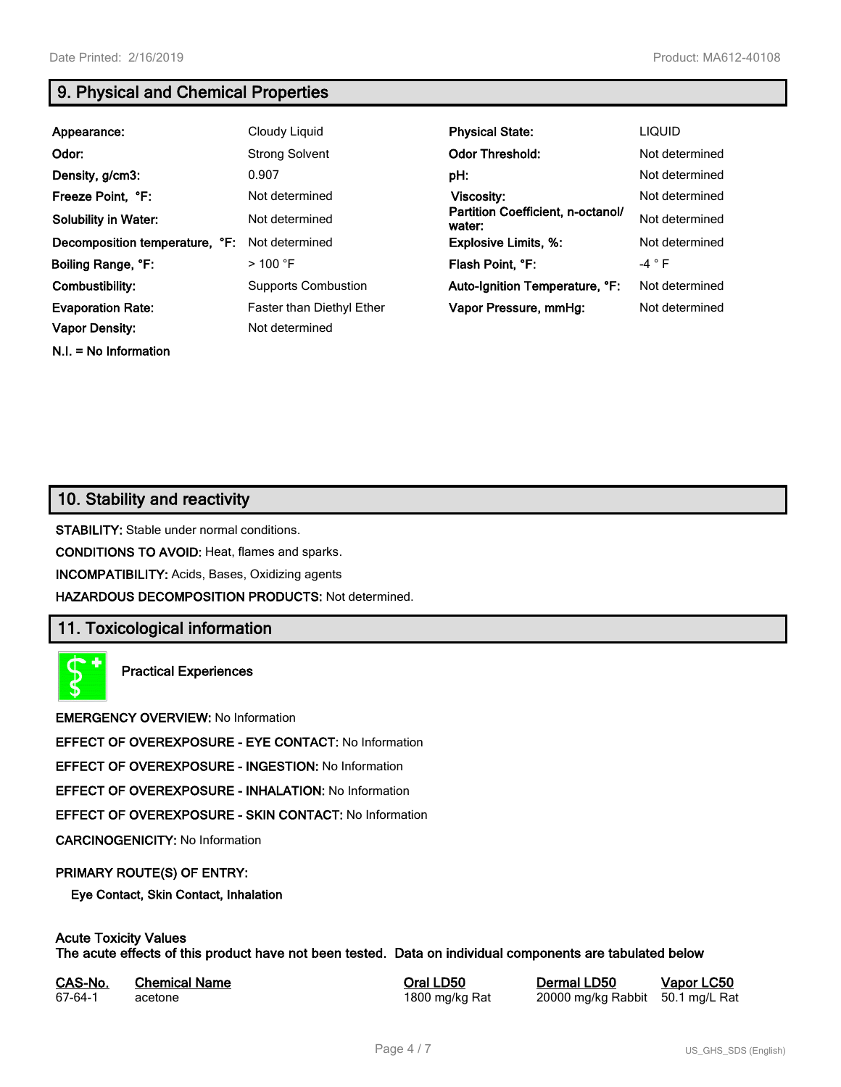**N.I. = No Information**

# **9. Physical and Chemical Properties**

| Appearance:                    | Cloudy Liquid              | <b>Physical State:</b>                      | <b>LIQUID</b>  |
|--------------------------------|----------------------------|---------------------------------------------|----------------|
| Odor:                          | <b>Strong Solvent</b>      | <b>Odor Threshold:</b>                      | Not determined |
| Density, g/cm3:                | 0.907                      | pH:                                         | Not determined |
| Freeze Point, °F:              | Not determined             | Viscosity:                                  | Not determined |
| <b>Solubility in Water:</b>    | Not determined             | Partition Coefficient, n-octanol/<br>water: | Not determined |
| Decomposition temperature, °F: | Not determined             | <b>Explosive Limits, %:</b>                 | Not determined |
| Boiling Range, °F:             | $>100$ °F                  | Flash Point, °F:                            | $-4$ $\circ$ F |
| Combustibility:                | <b>Supports Combustion</b> | Auto-Ignition Temperature, °F:              | Not determined |
| <b>Evaporation Rate:</b>       | Faster than Diethyl Ether  | Vapor Pressure, mmHg:                       | Not determined |
| <b>Vapor Density:</b>          | Not determined             |                                             |                |

# **10. Stability and reactivity**

**STABILITY:** Stable under normal conditions.

**CONDITIONS TO AVOID:** Heat, flames and sparks.

**INCOMPATIBILITY:** Acids, Bases, Oxidizing agents

**HAZARDOUS DECOMPOSITION PRODUCTS:** Not determined.

# **11. Toxicological information**

**Practical Experiences**

**EMERGENCY OVERVIEW:** No Information

**EFFECT OF OVEREXPOSURE - EYE CONTACT:** No Information

**EFFECT OF OVEREXPOSURE - INGESTION:** No Information

**EFFECT OF OVEREXPOSURE - INHALATION:** No Information

**EFFECT OF OVEREXPOSURE - SKIN CONTACT:** No Information

**CARCINOGENICITY:** No Information

#### **PRIMARY ROUTE(S) OF ENTRY:**

**Eye Contact, Skin Contact, Inhalation**

# **Acute Toxicity Values**

**The acute effects of this product have not been tested. Data on individual components are tabulated below**

| CAS-No. | <b>Chemical Name</b> |
|---------|----------------------|
| 67-64-1 | acetone              |

**Casary Chemical Chemical LD50 Chemical LD50 Vapor LC50** 1800 mg/kg Rat 20000 mg/kg Rabbit 50.1 mg/L Rat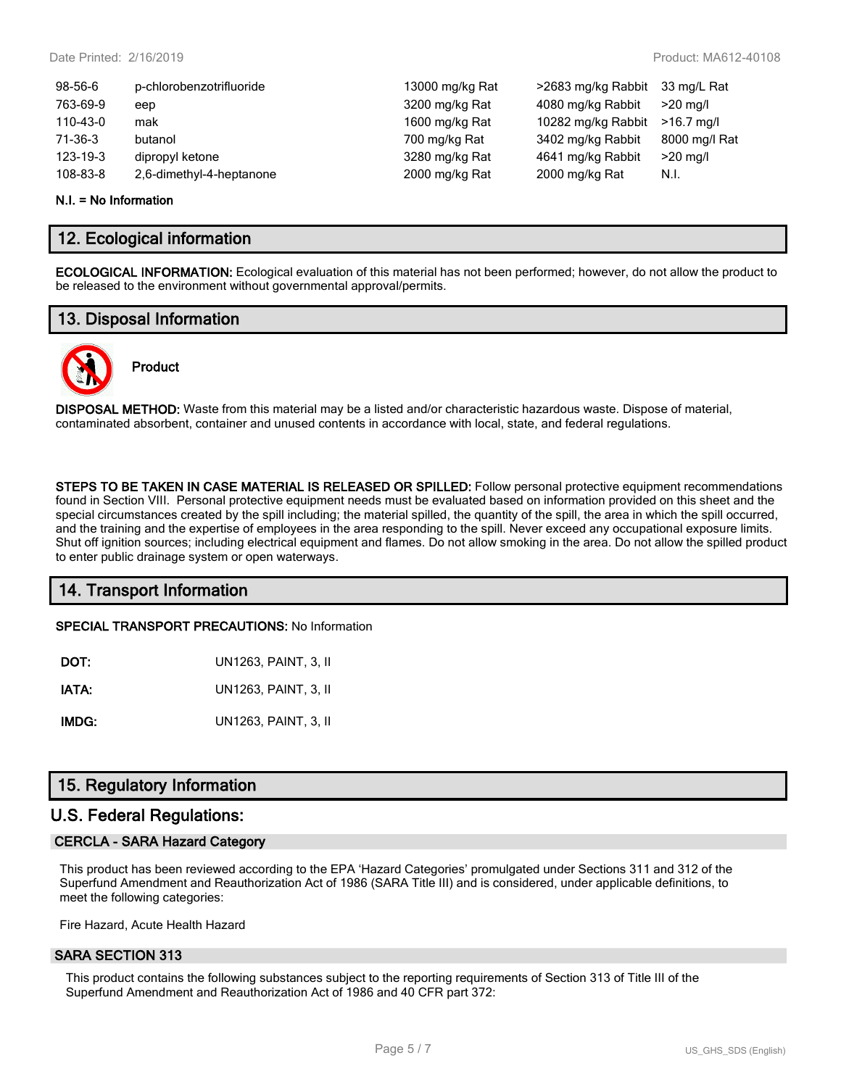| 98-56-6  | p-chlorobenzotrifluoride | 13000 mg/kg Rat | >2683 mg/kg Rabbit | 33 mg/L Rat   |
|----------|--------------------------|-----------------|--------------------|---------------|
| 763-69-9 | eep                      | 3200 mg/kg Rat  | 4080 mg/kg Rabbit  | $>20$ ma/l    |
| 110-43-0 | mak                      | 1600 mg/kg Rat  | 10282 mg/kg Rabbit | $>16.7$ ma/l  |
| 71-36-3  | butanol                  | 700 mg/kg Rat   | 3402 mg/kg Rabbit  | 8000 mg/l Rat |
| 123-19-3 | dipropyl ketone          | 3280 mg/kg Rat  | 4641 mg/kg Rabbit  | $>20$ mg/l    |
| 108-83-8 | 2,6-dimethyl-4-heptanone | 2000 mg/kg Rat  | 2000 mg/kg Rat     | N.I.          |
|          |                          |                 |                    |               |

#### **N.I. = No Information**

### **12. Ecological information**

**ECOLOGICAL INFORMATION:** Ecological evaluation of this material has not been performed; however, do not allow the product to be released to the environment without governmental approval/permits.

### **13. Disposal Information**



# **Product**

**DISPOSAL METHOD:** Waste from this material may be a listed and/or characteristic hazardous waste. Dispose of material, contaminated absorbent, container and unused contents in accordance with local, state, and federal regulations.

**STEPS TO BE TAKEN IN CASE MATERIAL IS RELEASED OR SPILLED:** Follow personal protective equipment recommendations found in Section VIII. Personal protective equipment needs must be evaluated based on information provided on this sheet and the special circumstances created by the spill including; the material spilled, the quantity of the spill, the area in which the spill occurred, and the training and the expertise of employees in the area responding to the spill. Never exceed any occupational exposure limits. Shut off ignition sources; including electrical equipment and flames. Do not allow smoking in the area. Do not allow the spilled product to enter public drainage system or open waterways.

# **14. Transport Information**

**SPECIAL TRANSPORT PRECAUTIONS:** No Information

| DOT:  | UN1263, PAINT, 3, II |
|-------|----------------------|
| IATA: | UN1263, PAINT, 3, II |
| IMDG: | UN1263, PAINT, 3, II |

# **15. Regulatory Information**

### **U.S. Federal Regulations:**

#### **CERCLA - SARA Hazard Category**

This product has been reviewed according to the EPA 'Hazard Categories' promulgated under Sections 311 and 312 of the Superfund Amendment and Reauthorization Act of 1986 (SARA Title III) and is considered, under applicable definitions, to meet the following categories:

Fire Hazard, Acute Health Hazard

#### **SARA SECTION 313**

This product contains the following substances subject to the reporting requirements of Section 313 of Title III of the Superfund Amendment and Reauthorization Act of 1986 and 40 CFR part 372: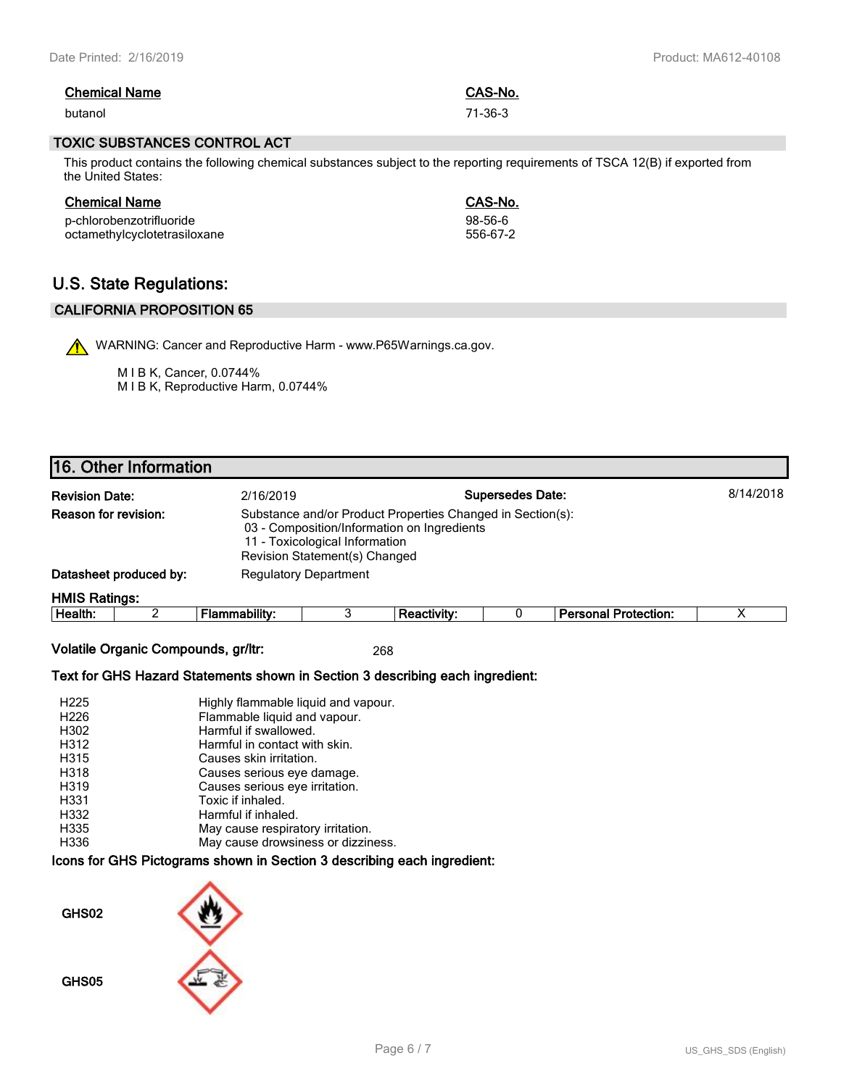| <b>Chemical Name</b> | CAS-No. |
|----------------------|---------|
| butanol              | 71-36-3 |

#### **TOXIC SUBSTANCES CONTROL ACT**

This product contains the following chemical substances subject to the reporting requirements of TSCA 12(B) if exported from the United States:

| <b>Chemical Name</b>         | CAS-No.  |
|------------------------------|----------|
| p-chlorobenzotrifluoride     | 98-56-6  |
| octamethylcyclotetrasiloxane | 556-67-2 |

# **U.S. State Regulations:**

### **CALIFORNIA PROPOSITION 65**

WARNING: Cancer and Reproductive Harm - www.P65Warnings.ca.gov.

M I B K, Cancer, 0.0744% M I B K, Reproductive Harm, 0.0744%

# **16. Other Information**

| <b>Revision Date:</b>       |                                                        | 8/14/2018<br><b>Supersedes Date:</b><br>2/16/2019                                                                                                                            |  |             |  |                             |  |  |  |
|-----------------------------|--------------------------------------------------------|------------------------------------------------------------------------------------------------------------------------------------------------------------------------------|--|-------------|--|-----------------------------|--|--|--|
| <b>Reason for revision:</b> |                                                        | Substance and/or Product Properties Changed in Section(s):<br>03 - Composition/Information on Ingredients<br>11 - Toxicological Information<br>Revision Statement(s) Changed |  |             |  |                             |  |  |  |
|                             | Datasheet produced by:<br><b>Regulatory Department</b> |                                                                                                                                                                              |  |             |  |                             |  |  |  |
| <b>HMIS Ratings:</b>        |                                                        |                                                                                                                                                                              |  |             |  |                             |  |  |  |
| Health:                     |                                                        | Flammability:                                                                                                                                                                |  | Reactivity: |  | <b>Personal Protection:</b> |  |  |  |

**Volatile Organic Compounds, gr/ltr:** 268

#### **Text for GHS Hazard Statements shown in Section 3 describing each ingredient:**

| H <sub>225</sub> | Highly flammable liquid and vapour. |
|------------------|-------------------------------------|
| H <sub>226</sub> | Flammable liquid and vapour.        |
| H302             | Harmful if swallowed.               |
| H312             | Harmful in contact with skin.       |
| H315             | Causes skin irritation.             |
| H318             | Causes serious eye damage.          |
| H319             | Causes serious eye irritation.      |
| H331             | Toxic if inhaled.                   |
| H332             | Harmful if inhaled.                 |
| H335             | May cause respiratory irritation.   |
| H336             | May cause drowsiness or dizziness.  |

#### **Icons for GHS Pictograms shown in Section 3 describing each ingredient:**